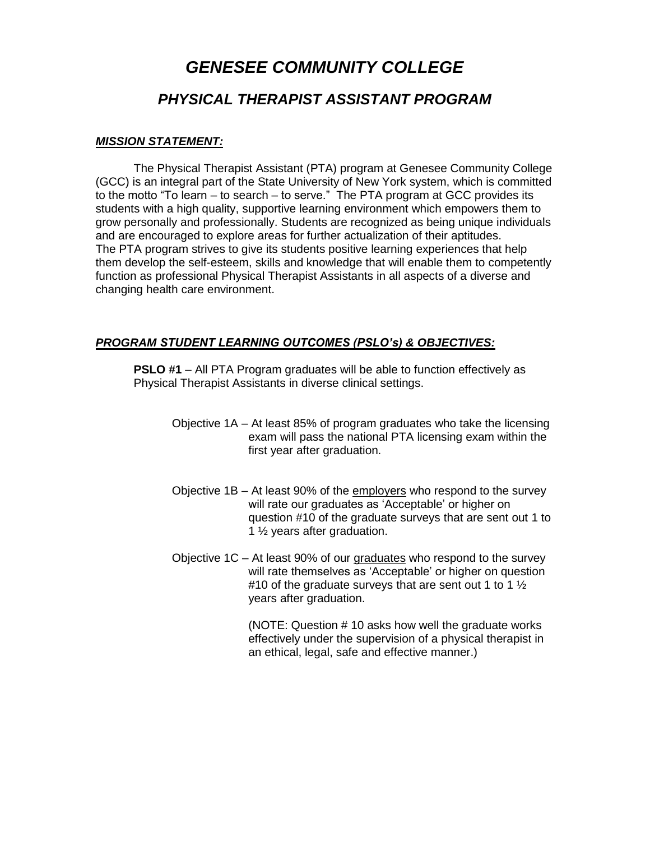## *GENESEE COMMUNITY COLLEGE PHYSICAL THERAPIST ASSISTANT PROGRAM*

## *MISSION STATEMENT:*

The Physical Therapist Assistant (PTA) program at Genesee Community College (GCC) is an integral part of the State University of New York system, which is committed to the motto "To learn – to search – to serve." The PTA program at GCC provides its students with a high quality, supportive learning environment which empowers them to grow personally and professionally. Students are recognized as being unique individuals and are encouraged to explore areas for further actualization of their aptitudes. The PTA program strives to give its students positive learning experiences that help them develop the self-esteem, skills and knowledge that will enable them to competently function as professional Physical Therapist Assistants in all aspects of a diverse and changing health care environment.

## *PROGRAM STUDENT LEARNING OUTCOMES (PSLO's) & OBJECTIVES:*

**PSLO #1** – All PTA Program graduates will be able to function effectively as Physical Therapist Assistants in diverse clinical settings.

- Objective 1A At least 85% of program graduates who take the licensing exam will pass the national PTA licensing exam within the first year after graduation.
- Objective 1B At least 90% of the employers who respond to the survey will rate our graduates as 'Acceptable' or higher on question #10 of the graduate surveys that are sent out 1 to 1 ½ years after graduation.
- Objective 1C At least 90% of our graduates who respond to the survey will rate themselves as 'Acceptable' or higher on question #10 of the graduate surveys that are sent out 1 to 1  $\frac{1}{2}$ years after graduation.

(NOTE: Question # 10 asks how well the graduate works effectively under the supervision of a physical therapist in an ethical, legal, safe and effective manner.)